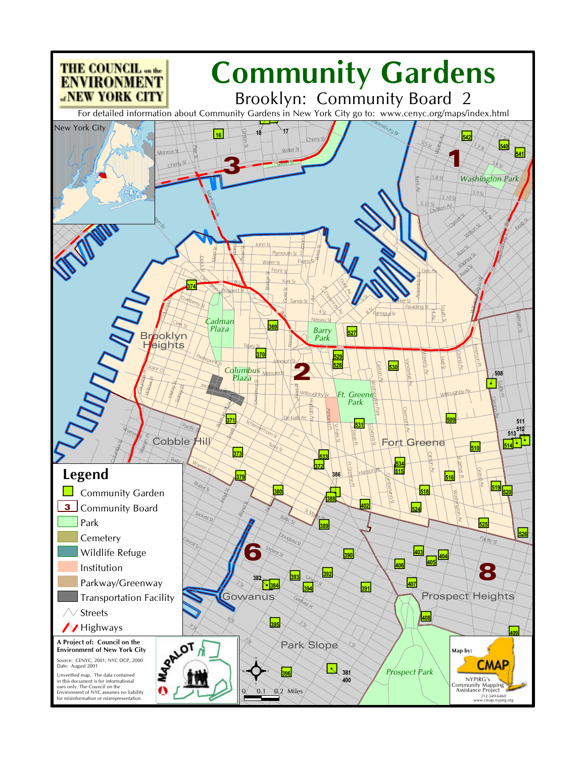